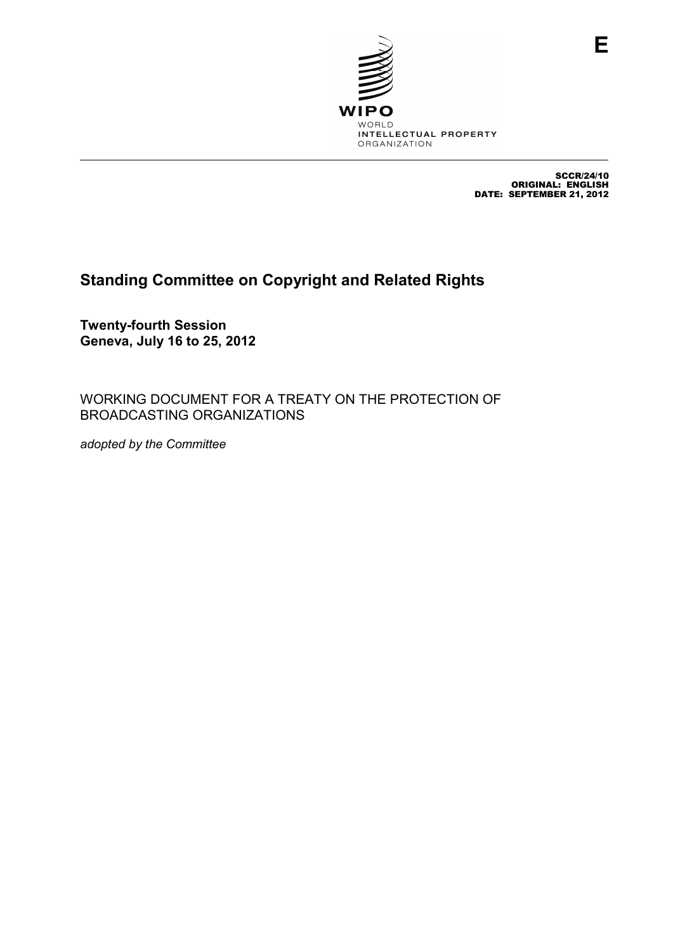

SCCR/24/10 ORIGINAL: ENGLISH DATE: SEPTEMBER 21, 2012

# **Standing Committee on Copyright and Related Rights**

**Twenty-fourth Session Geneva, July 16 to 25, 2012** 

WORKING DOCUMENT FOR A TREATY ON THE PROTECTION OF BROADCASTING ORGANIZATIONS

*adopted by the Committee*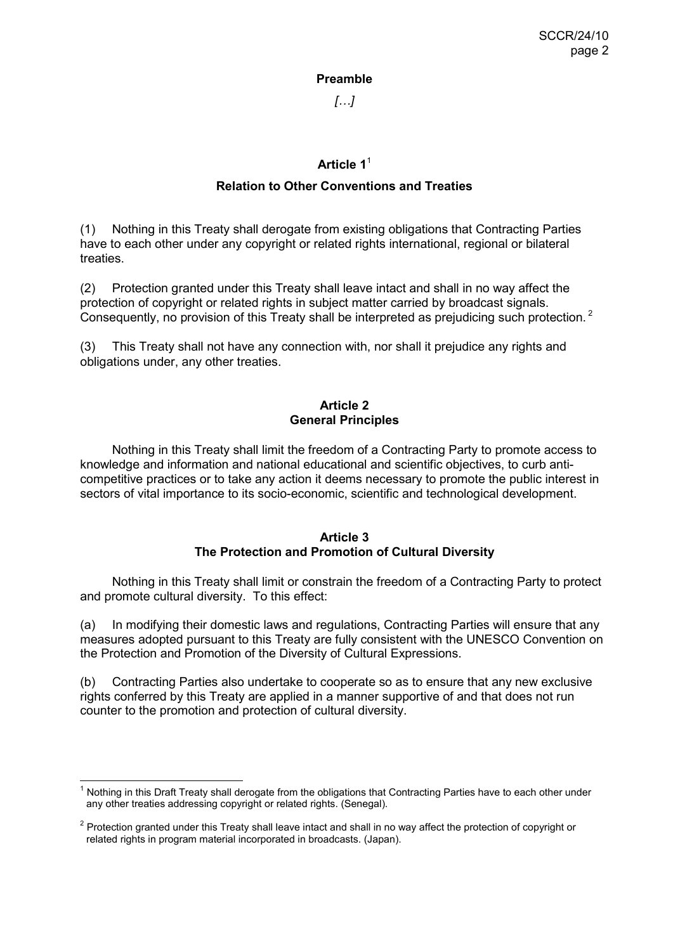#### **Preamble**

*[…]* 

# **Article 1**<sup>1</sup>

# **Relation to Other Conventions and Treaties**

(1) Nothing in this Treaty shall derogate from existing obligations that Contracting Parties have to each other under any copyright or related rights international, regional or bilateral treaties.

(2) Protection granted under this Treaty shall leave intact and shall in no way affect the protection of copyright or related rights in subject matter carried by broadcast signals. Consequently, no provision of this Treaty shall be interpreted as prejudicing such protection.<sup>2</sup>

(3) This Treaty shall not have any connection with, nor shall it prejudice any rights and obligations under, any other treaties.

# **Article 2 General Principles**

 Nothing in this Treaty shall limit the freedom of a Contracting Party to promote access to knowledge and information and national educational and scientific objectives, to curb anticompetitive practices or to take any action it deems necessary to promote the public interest in sectors of vital importance to its socio-economic, scientific and technological development.

# **Article 3 The Protection and Promotion of Cultural Diversity**

 Nothing in this Treaty shall limit or constrain the freedom of a Contracting Party to protect and promote cultural diversity. To this effect:

(a) In modifying their domestic laws and regulations, Contracting Parties will ensure that any measures adopted pursuant to this Treaty are fully consistent with the UNESCO Convention on the Protection and Promotion of the Diversity of Cultural Expressions.

(b) Contracting Parties also undertake to cooperate so as to ensure that any new exclusive rights conferred by this Treaty are applied in a manner supportive of and that does not run counter to the promotion and protection of cultural diversity.

<sup>—————————————————————&</sup>lt;br><sup>1</sup> Nothing in this Draft Treaty shall derogate from the obligations that Contracting Parties have to each other under any other treaties addressing copyright or related rights. (Senegal).

 $2$  Protection granted under this Treaty shall leave intact and shall in no way affect the protection of copyright or related rights in program material incorporated in broadcasts. (Japan).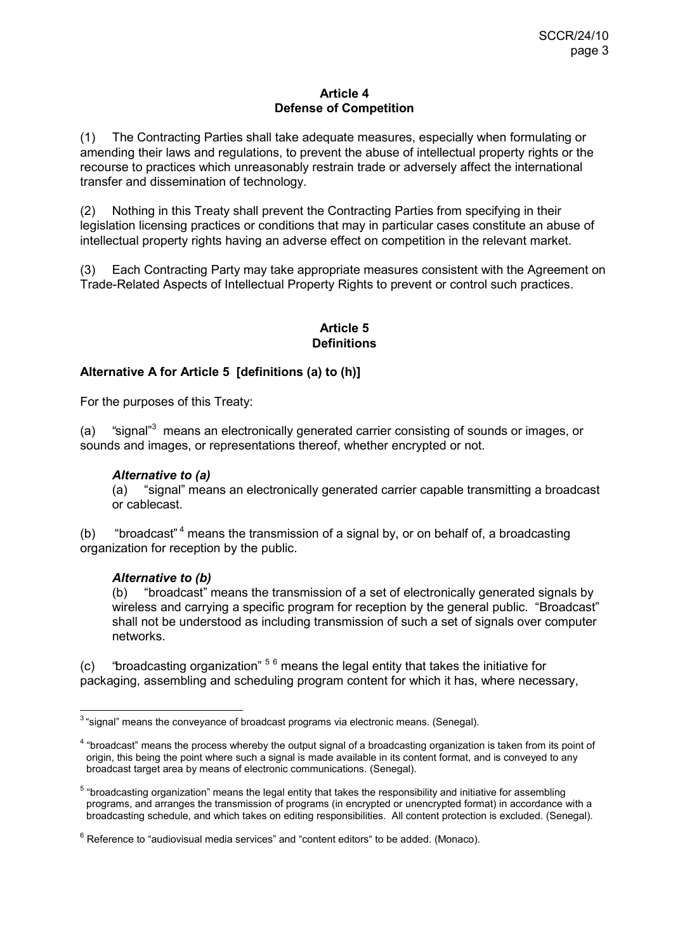#### **Article 4 Defense of Competition**

(1) The Contracting Parties shall take adequate measures, especially when formulating or amending their laws and regulations, to prevent the abuse of intellectual property rights or the recourse to practices which unreasonably restrain trade or adversely affect the international transfer and dissemination of technology.

(2) Nothing in this Treaty shall prevent the Contracting Parties from specifying in their legislation licensing practices or conditions that may in particular cases constitute an abuse of intellectual property rights having an adverse effect on competition in the relevant market.

(3) Each Contracting Party may take appropriate measures consistent with the Agreement on Trade-Related Aspects of Intellectual Property Rights to prevent or control such practices.

# **Article 5 Definitions**

# **Alternative A for Article 5 [definitions (a) to (h)]**

For the purposes of this Treaty:

(a) "signal"<sup>3</sup> means an electronically generated carrier consisting of sounds or images, or sounds and images, or representations thereof, whether encrypted or not.

# *Alternative to (a)*

(a) "signal" means an electronically generated carrier capable transmitting a broadcast or cablecast.

(b) "broadcast"<sup>4</sup> means the transmission of a signal by, or on behalf of, a broadcasting organization for reception by the public.

# *Alternative to (b)*

(b) "broadcast" means the transmission of a set of electronically generated signals by wireless and carrying a specific program for reception by the general public. "Broadcast" shall not be understood as including transmission of such a set of signals over computer networks.

(c) *"*broadcasting organization" <sup>5</sup> <sup>6</sup> means the legal entity that takes the initiative for packaging, assembling and scheduling program content for which it has, where necessary,

 $\overline{a}$  $3$  "signal" means the conveyance of broadcast programs via electronic means. (Senegal).

<sup>&</sup>lt;sup>4</sup> "broadcast" means the process whereby the output signal of a broadcasting organization is taken from its point of origin, this being the point where such a signal is made available in its content format, and is conveyed to any broadcast target area by means of electronic communications. (Senegal).

<sup>&</sup>lt;sup>5</sup> "broadcasting organization" means the legal entity that takes the responsibility and initiative for assembling programs, and arranges the transmission of programs (in encrypted or unencrypted format) in accordance with a broadcasting schedule, and which takes on editing responsibilities. All content protection is excluded. (Senegal).

 $6$  Reference to "audiovisual media services" and "content editors" to be added. (Monaco).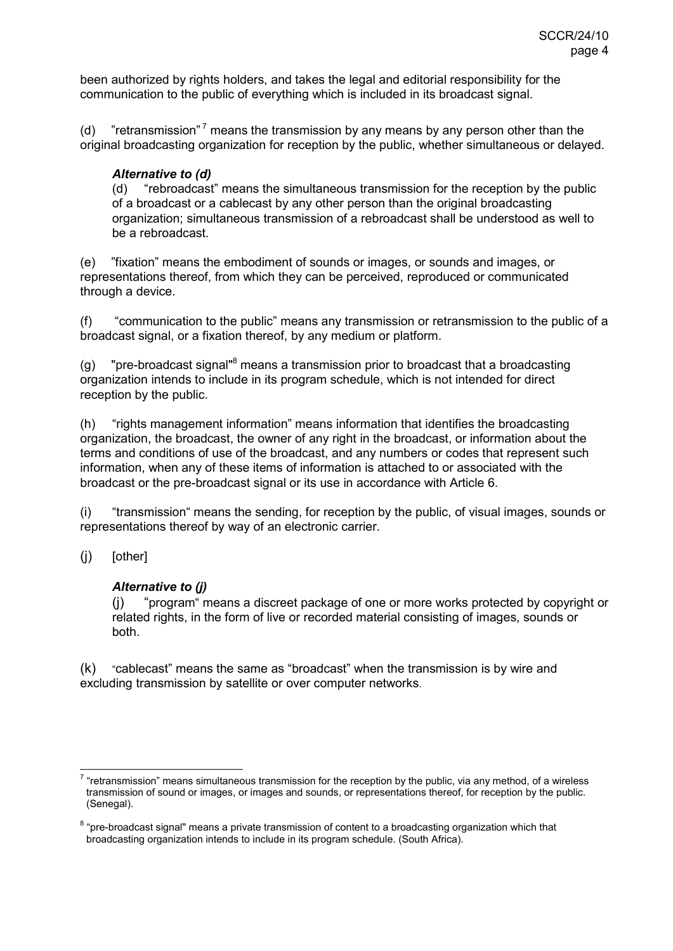been authorized by rights holders, and takes the legal and editorial responsibility for the communication to the public of everything which is included in its broadcast signal.

(d) "retransmission"<sup>7</sup> means the transmission by any means by any person other than the original broadcasting organization for reception by the public, whether simultaneous or delayed.

# *Alternative to (d)*

(d) "rebroadcast" means the simultaneous transmission for the reception by the public of a broadcast or a cablecast by any other person than the original broadcasting organization; simultaneous transmission of a rebroadcast shall be understood as well to be a rebroadcast.

(e) "fixation" means the embodiment of sounds or images, or sounds and images, or representations thereof, from which they can be perceived, reproduced or communicated through a device.

(f) "communication to the public" means any transmission or retransmission to the public of a broadcast signal, or a fixation thereof, by any medium or platform.

(g) "pre-broadcast signal"<sup>8</sup> means a transmission prior to broadcast that a broadcasting organization intends to include in its program schedule, which is not intended for direct reception by the public.

(h) "rights management information" means information that identifies the broadcasting organization, the broadcast, the owner of any right in the broadcast, or information about the terms and conditions of use of the broadcast, and any numbers or codes that represent such information, when any of these items of information is attached to or associated with the broadcast or the pre-broadcast signal or its use in accordance with Article 6.

(i) "transmission" means the sending, for reception by the public, of visual images, sounds or representations thereof by way of an electronic carrier.

(j) [other]

# *Alternative to (j)*

(j) "program" means a discreet package of one or more works protected by copyright or related rights, in the form of live or recorded material consisting of images, sounds or both.

(k) "cablecast" means the same as "broadcast" when the transmission is by wire and excluding transmission by satellite or over computer networks.

<sup>————————————————————&</sup>lt;br><sup>7</sup> "retransmission" means simultaneous transmission for the reception by the public, via any method, of a wireless transmission of sound or images, or images and sounds, or representations thereof, for reception by the public. (Senegal).

<sup>&</sup>lt;sup>8</sup> "pre-broadcast signal" means a private transmission of content to a broadcasting organization which that broadcasting organization intends to include in its program schedule. (South Africa).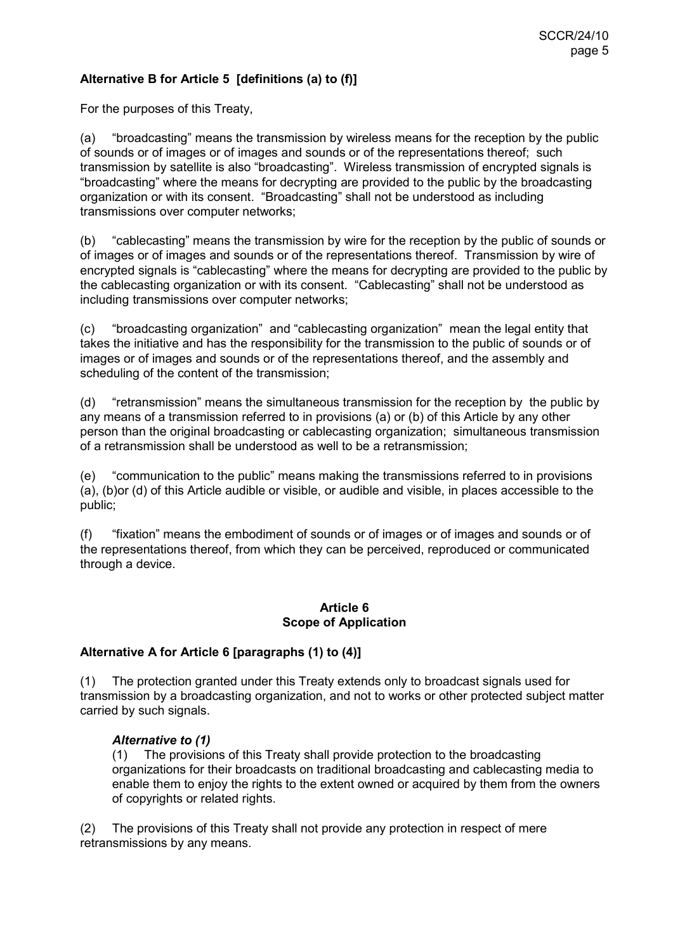# **Alternative B for Article 5 [definitions (a) to (f)]**

For the purposes of this Treaty,

(a) "broadcasting" means the transmission by wireless means for the reception by the public of sounds or of images or of images and sounds or of the representations thereof; such transmission by satellite is also "broadcasting". Wireless transmission of encrypted signals is "broadcasting" where the means for decrypting are provided to the public by the broadcasting organization or with its consent. "Broadcasting" shall not be understood as including transmissions over computer networks;

(b) "cablecasting" means the transmission by wire for the reception by the public of sounds or of images or of images and sounds or of the representations thereof. Transmission by wire of encrypted signals is "cablecasting" where the means for decrypting are provided to the public by the cablecasting organization or with its consent. "Cablecasting" shall not be understood as including transmissions over computer networks;

(c) "broadcasting organization" and "cablecasting organization" mean the legal entity that takes the initiative and has the responsibility for the transmission to the public of sounds or of images or of images and sounds or of the representations thereof, and the assembly and scheduling of the content of the transmission;

(d) "retransmission" means the simultaneous transmission for the reception by the public by any means of a transmission referred to in provisions (a) or (b) of this Article by any other person than the original broadcasting or cablecasting organization; simultaneous transmission of a retransmission shall be understood as well to be a retransmission;

(e) "communication to the public" means making the transmissions referred to in provisions (a), (b)or (d) of this Article audible or visible, or audible and visible, in places accessible to the public;

(f) "fixation" means the embodiment of sounds or of images or of images and sounds or of the representations thereof, from which they can be perceived, reproduced or communicated through a device.

#### **Article 6 Scope of Application**

# **Alternative A for Article 6 [paragraphs (1) to (4)]**

(1) The protection granted under this Treaty extends only to broadcast signals used for transmission by a broadcasting organization, and not to works or other protected subject matter carried by such signals.

#### *Alternative to (1)*

(1) The provisions of this Treaty shall provide protection to the broadcasting organizations for their broadcasts on traditional broadcasting and cablecasting media to enable them to enjoy the rights to the extent owned or acquired by them from the owners of copyrights or related rights.

(2) The provisions of this Treaty shall not provide any protection in respect of mere retransmissions by any means.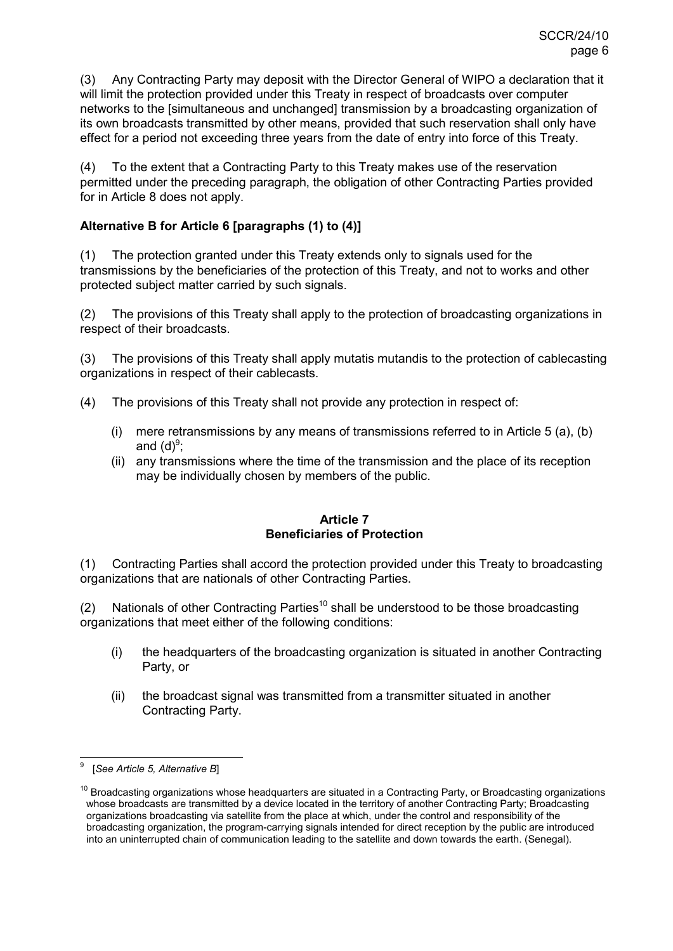(3) Any Contracting Party may deposit with the Director General of WIPO a declaration that it will limit the protection provided under this Treaty in respect of broadcasts over computer networks to the [simultaneous and unchanged] transmission by a broadcasting organization of its own broadcasts transmitted by other means, provided that such reservation shall only have effect for a period not exceeding three years from the date of entry into force of this Treaty.

(4) To the extent that a Contracting Party to this Treaty makes use of the reservation permitted under the preceding paragraph, the obligation of other Contracting Parties provided for in Article 8 does not apply.

# **Alternative B for Article 6 [paragraphs (1) to (4)]**

(1) The protection granted under this Treaty extends only to signals used for the transmissions by the beneficiaries of the protection of this Treaty, and not to works and other protected subject matter carried by such signals.

(2) The provisions of this Treaty shall apply to the protection of broadcasting organizations in respect of their broadcasts.

(3) The provisions of this Treaty shall apply mutatis mutandis to the protection of cablecasting organizations in respect of their cablecasts.

- (4) The provisions of this Treaty shall not provide any protection in respect of:
	- (i) mere retransmissions by any means of transmissions referred to in Article 5 (a), (b) and (d) $9;$
	- (ii) any transmissions where the time of the transmission and the place of its reception may be individually chosen by members of the public.

# **Article 7 Beneficiaries of Protection**

(1) Contracting Parties shall accord the protection provided under this Treaty to broadcasting organizations that are nationals of other Contracting Parties.

(2) Nationals of other Contracting Parties<sup>10</sup> shall be understood to be those broadcasting organizations that meet either of the following conditions:

- (i) the headquarters of the broadcasting organization is situated in another Contracting Party, or
- (ii) the broadcast signal was transmitted from a transmitter situated in another Contracting Party.

 $\overline{a}$ 9 [*See Article 5, Alternative B*]

 $10$  Broadcasting organizations whose headquarters are situated in a Contracting Party, or Broadcasting organizations whose broadcasts are transmitted by a device located in the territory of another Contracting Party; Broadcasting organizations broadcasting via satellite from the place at which, under the control and responsibility of the broadcasting organization, the program-carrying signals intended for direct reception by the public are introduced into an uninterrupted chain of communication leading to the satellite and down towards the earth. (Senegal).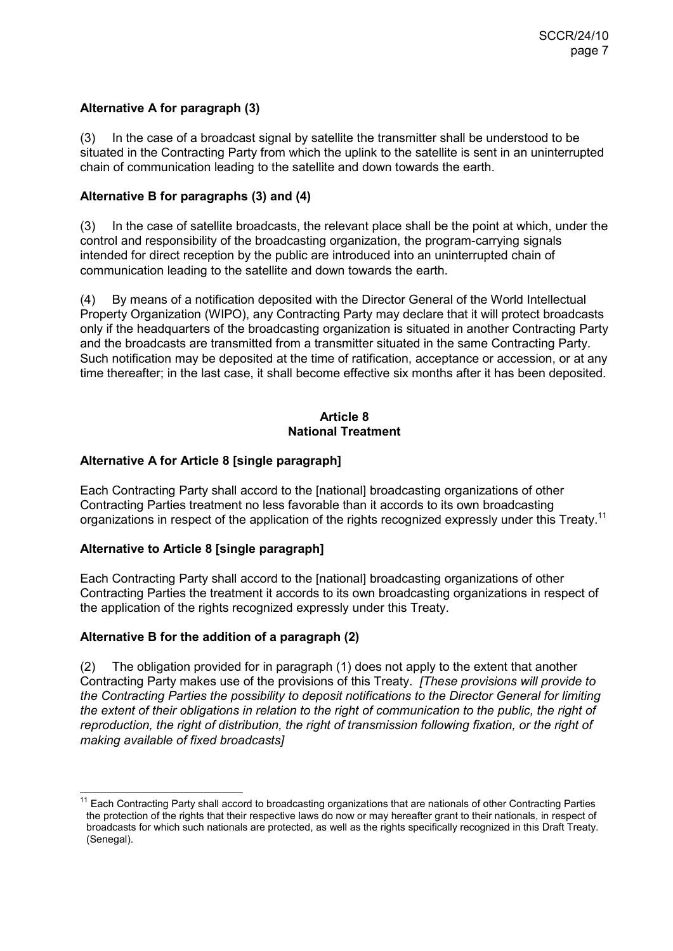# **Alternative A for paragraph (3)**

(3) In the case of a broadcast signal by satellite the transmitter shall be understood to be situated in the Contracting Party from which the uplink to the satellite is sent in an uninterrupted chain of communication leading to the satellite and down towards the earth.

# **Alternative B for paragraphs (3) and (4)**

(3) In the case of satellite broadcasts, the relevant place shall be the point at which, under the control and responsibility of the broadcasting organization, the program-carrying signals intended for direct reception by the public are introduced into an uninterrupted chain of communication leading to the satellite and down towards the earth.

(4) By means of a notification deposited with the Director General of the World Intellectual Property Organization (WIPO), any Contracting Party may declare that it will protect broadcasts only if the headquarters of the broadcasting organization is situated in another Contracting Party and the broadcasts are transmitted from a transmitter situated in the same Contracting Party. Such notification may be deposited at the time of ratification, acceptance or accession, or at any time thereafter; in the last case, it shall become effective six months after it has been deposited.

# **Article 8 National Treatment**

# **Alternative A for Article 8 [single paragraph]**

Each Contracting Party shall accord to the [national] broadcasting organizations of other Contracting Parties treatment no less favorable than it accords to its own broadcasting organizations in respect of the application of the rights recognized expressly under this Treaty.<sup>11</sup>

# **Alternative to Article 8 [single paragraph]**

Each Contracting Party shall accord to the [national] broadcasting organizations of other Contracting Parties the treatment it accords to its own broadcasting organizations in respect of the application of the rights recognized expressly under this Treaty.

# **Alternative B for the addition of a paragraph (2)**

(2) The obligation provided for in paragraph (1) does not apply to the extent that another Contracting Party makes use of the provisions of this Treaty. *[These provisions will provide to the Contracting Parties the possibility to deposit notifications to the Director General for limiting the extent of their obligations in relation to the right of communication to the public, the right of reproduction, the right of distribution, the right of transmission following fixation, or the right of making available of fixed broadcasts]*

 $\overline{a}$ <sup>11</sup> Each Contracting Party shall accord to broadcasting organizations that are nationals of other Contracting Parties the protection of the rights that their respective laws do now or may hereafter grant to their nationals, in respect of broadcasts for which such nationals are protected, as well as the rights specifically recognized in this Draft Treaty. (Senegal).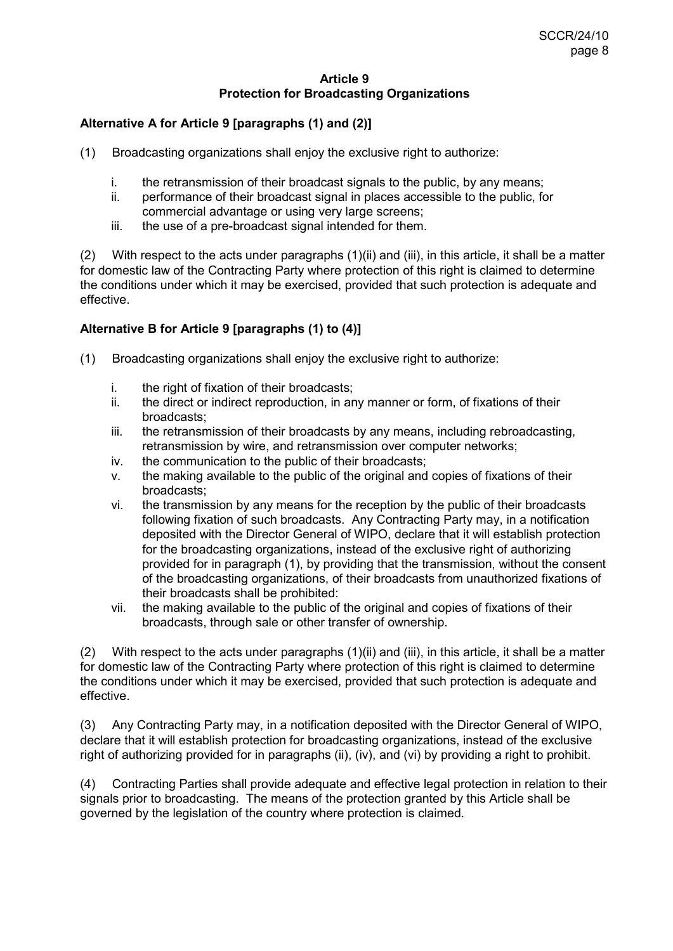#### **Article 9 Protection for Broadcasting Organizations**

# **Alternative A for Article 9 [paragraphs (1) and (2)]**

- (1) Broadcasting organizations shall enjoy the exclusive right to authorize:
	- i. the retransmission of their broadcast signals to the public, by any means;
	- ii. performance of their broadcast signal in places accessible to the public, for commercial advantage or using very large screens;
	- iii. the use of a pre-broadcast signal intended for them.

(2) With respect to the acts under paragraphs  $(1)(ii)$  and  $(iii)$ , in this article, it shall be a matter for domestic law of the Contracting Party where protection of this right is claimed to determine the conditions under which it may be exercised, provided that such protection is adequate and effective.

# **Alternative B for Article 9 [paragraphs (1) to (4)]**

- (1) Broadcasting organizations shall enjoy the exclusive right to authorize:
	- i. the right of fixation of their broadcasts;
	- ii. the direct or indirect reproduction, in any manner or form, of fixations of their broadcasts;
	- iii. the retransmission of their broadcasts by any means, including rebroadcasting, retransmission by wire, and retransmission over computer networks;
	- iv. the communication to the public of their broadcasts;
	- v. the making available to the public of the original and copies of fixations of their broadcasts;
	- vi. the transmission by any means for the reception by the public of their broadcasts following fixation of such broadcasts. Any Contracting Party may, in a notification deposited with the Director General of WIPO, declare that it will establish protection for the broadcasting organizations, instead of the exclusive right of authorizing provided for in paragraph (1), by providing that the transmission, without the consent of the broadcasting organizations, of their broadcasts from unauthorized fixations of their broadcasts shall be prohibited:
	- vii. the making available to the public of the original and copies of fixations of their broadcasts, through sale or other transfer of ownership.

(2) With respect to the acts under paragraphs (1)(ii) and (iii), in this article, it shall be a matter for domestic law of the Contracting Party where protection of this right is claimed to determine the conditions under which it may be exercised, provided that such protection is adequate and effective.

(3) Any Contracting Party may, in a notification deposited with the Director General of WIPO, declare that it will establish protection for broadcasting organizations, instead of the exclusive right of authorizing provided for in paragraphs (ii), (iv), and (vi) by providing a right to prohibit.

(4) Contracting Parties shall provide adequate and effective legal protection in relation to their signals prior to broadcasting. The means of the protection granted by this Article shall be governed by the legislation of the country where protection is claimed.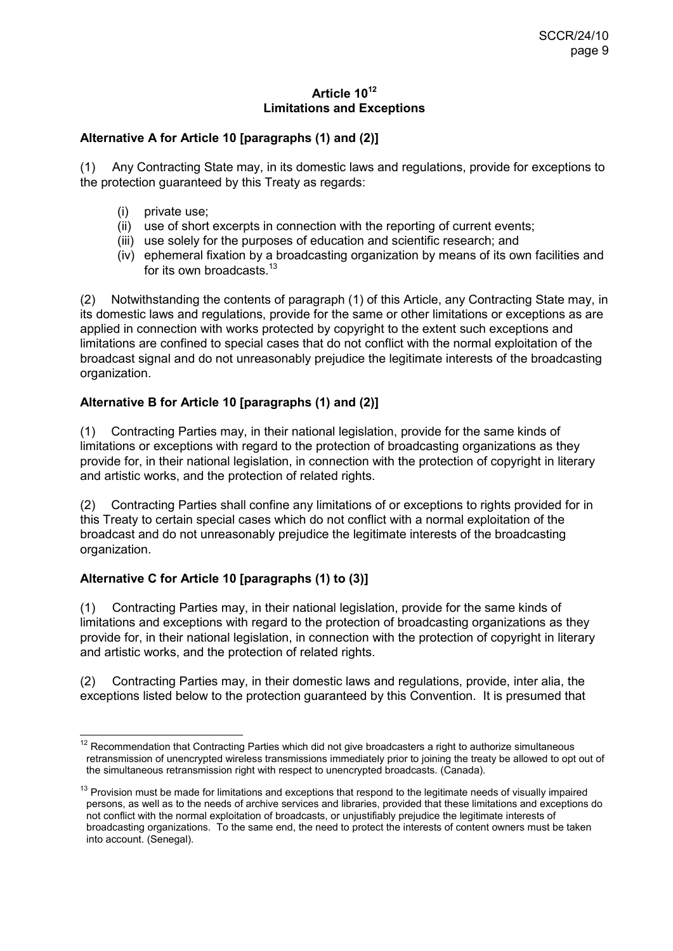# **Article 10<sup>12</sup> Limitations and Exceptions**

# **Alternative A for Article 10 [paragraphs (1) and (2)]**

(1) Any Contracting State may, in its domestic laws and regulations, provide for exceptions to the protection guaranteed by this Treaty as regards:

- (i) private use;
- (ii) use of short excerpts in connection with the reporting of current events;
- (iii) use solely for the purposes of education and scientific research; and
- (iv) ephemeral fixation by a broadcasting organization by means of its own facilities and for its own broadcasts <sup>13</sup>

(2) Notwithstanding the contents of paragraph (1) of this Article, any Contracting State may, in its domestic laws and regulations, provide for the same or other limitations or exceptions as are applied in connection with works protected by copyright to the extent such exceptions and limitations are confined to special cases that do not conflict with the normal exploitation of the broadcast signal and do not unreasonably prejudice the legitimate interests of the broadcasting organization.

# **Alternative B for Article 10 [paragraphs (1) and (2)]**

(1) Contracting Parties may, in their national legislation, provide for the same kinds of limitations or exceptions with regard to the protection of broadcasting organizations as they provide for, in their national legislation, in connection with the protection of copyright in literary and artistic works, and the protection of related rights.

(2) Contracting Parties shall confine any limitations of or exceptions to rights provided for in this Treaty to certain special cases which do not conflict with a normal exploitation of the broadcast and do not unreasonably prejudice the legitimate interests of the broadcasting organization.

# **Alternative C for Article 10 [paragraphs (1) to (3)]**

(1) Contracting Parties may, in their national legislation, provide for the same kinds of limitations and exceptions with regard to the protection of broadcasting organizations as they provide for, in their national legislation, in connection with the protection of copyright in literary and artistic works, and the protection of related rights.

(2) Contracting Parties may, in their domestic laws and regulations, provide, inter alia, the exceptions listed below to the protection guaranteed by this Convention. It is presumed that

 $\frac{1}{2}$  $12$  Recommendation that Contracting Parties which did not give broadcasters a right to authorize simultaneous retransmission of unencrypted wireless transmissions immediately prior to joining the treaty be allowed to opt out of the simultaneous retransmission right with respect to unencrypted broadcasts. (Canada).

 $13$  Provision must be made for limitations and exceptions that respond to the legitimate needs of visually impaired persons, as well as to the needs of archive services and libraries, provided that these limitations and exceptions do not conflict with the normal exploitation of broadcasts, or unjustifiably prejudice the legitimate interests of broadcasting organizations. To the same end, the need to protect the interests of content owners must be taken into account. (Senegal).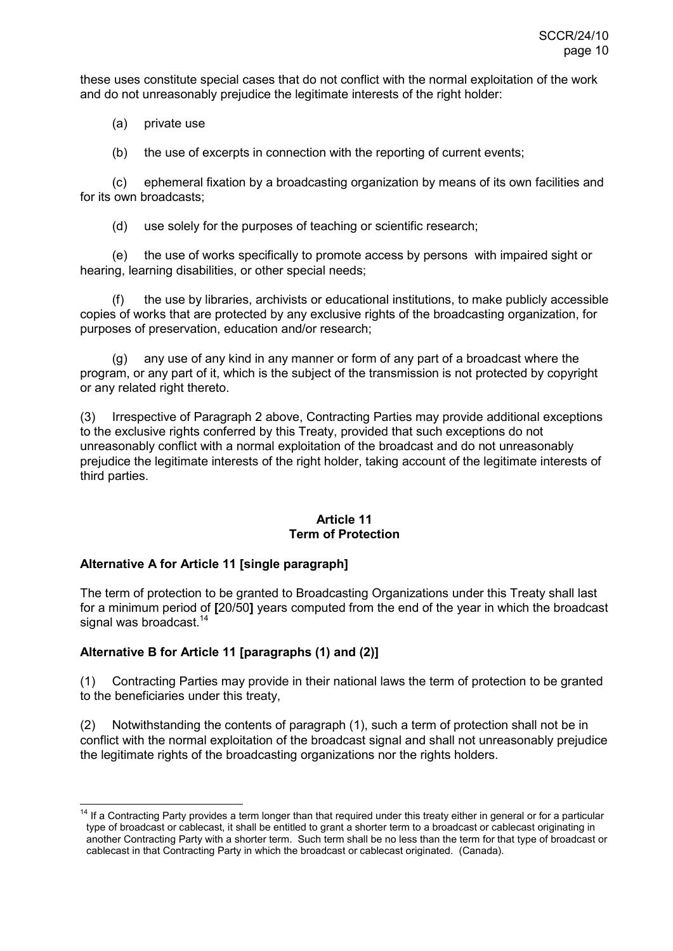these uses constitute special cases that do not conflict with the normal exploitation of the work and do not unreasonably prejudice the legitimate interests of the right holder:

(a) private use

(b) the use of excerpts in connection with the reporting of current events;

 (c) ephemeral fixation by a broadcasting organization by means of its own facilities and for its own broadcasts;

(d) use solely for the purposes of teaching or scientific research;

 (e) the use of works specifically to promote access by persons with impaired sight or hearing, learning disabilities, or other special needs;

the use by libraries, archivists or educational institutions, to make publicly accessible copies of works that are protected by any exclusive rights of the broadcasting organization, for purposes of preservation, education and/or research;

 (g) any use of any kind in any manner or form of any part of a broadcast where the program, or any part of it, which is the subject of the transmission is not protected by copyright or any related right thereto.

(3) Irrespective of Paragraph 2 above, Contracting Parties may provide additional exceptions to the exclusive rights conferred by this Treaty, provided that such exceptions do not unreasonably conflict with a normal exploitation of the broadcast and do not unreasonably prejudice the legitimate interests of the right holder, taking account of the legitimate interests of third parties.

#### **Article 11 Term of Protection**

# **Alternative A for Article 11 [single paragraph]**

The term of protection to be granted to Broadcasting Organizations under this Treaty shall last for a minimum period of **[**20/50**]** years computed from the end of the year in which the broadcast signal was broadcast.<sup>14</sup>

# **Alternative B for Article 11 [paragraphs (1) and (2)]**

(1) Contracting Parties may provide in their national laws the term of protection to be granted to the beneficiaries under this treaty,

(2) Notwithstanding the contents of paragraph (1), such a term of protection shall not be in conflict with the normal exploitation of the broadcast signal and shall not unreasonably prejudice the legitimate rights of the broadcasting organizations nor the rights holders.

 $\overline{1}$ <sup>14</sup> If a Contracting Party provides a term longer than that required under this treaty either in general or for a particular type of broadcast or cablecast, it shall be entitled to grant a shorter term to a broadcast or cablecast originating in another Contracting Party with a shorter term. Such term shall be no less than the term for that type of broadcast or cablecast in that Contracting Party in which the broadcast or cablecast originated. (Canada).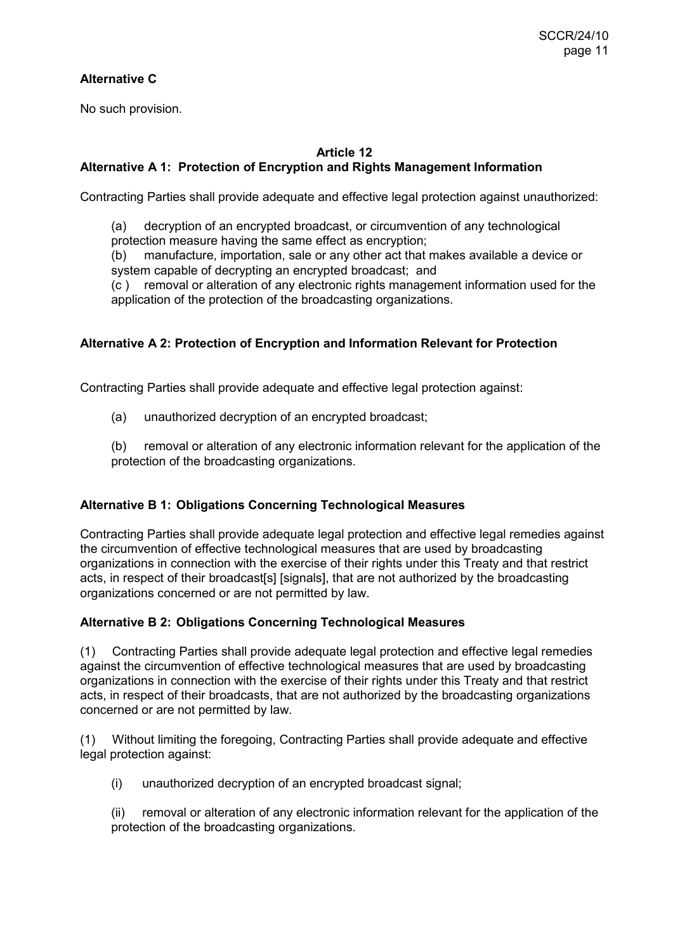# **Alternative C**

No such provision.

# **Article 12 Alternative A 1: Protection of Encryption and Rights Management Information**

Contracting Parties shall provide adequate and effective legal protection against unauthorized:

(a) decryption of an encrypted broadcast, or circumvention of any technological protection measure having the same effect as encryption;

(b) manufacture, importation, sale or any other act that makes available a device or system capable of decrypting an encrypted broadcast; and

(c ) removal or alteration of any electronic rights management information used for the application of the protection of the broadcasting organizations.

# **Alternative A 2: Protection of Encryption and Information Relevant for Protection**

Contracting Parties shall provide adequate and effective legal protection against:

(a) unauthorized decryption of an encrypted broadcast;

(b) removal or alteration of any electronic information relevant for the application of the protection of the broadcasting organizations.

# **Alternative B 1: Obligations Concerning Technological Measures**

Contracting Parties shall provide adequate legal protection and effective legal remedies against the circumvention of effective technological measures that are used by broadcasting organizations in connection with the exercise of their rights under this Treaty and that restrict acts, in respect of their broadcast[s] [signals], that are not authorized by the broadcasting organizations concerned or are not permitted by law.

# **Alternative B 2: Obligations Concerning Technological Measures**

(1) Contracting Parties shall provide adequate legal protection and effective legal remedies against the circumvention of effective technological measures that are used by broadcasting organizations in connection with the exercise of their rights under this Treaty and that restrict acts, in respect of their broadcasts, that are not authorized by the broadcasting organizations concerned or are not permitted by law.

(1) Without limiting the foregoing, Contracting Parties shall provide adequate and effective legal protection against:

(i) unauthorized decryption of an encrypted broadcast signal;

(ii) removal or alteration of any electronic information relevant for the application of the protection of the broadcasting organizations.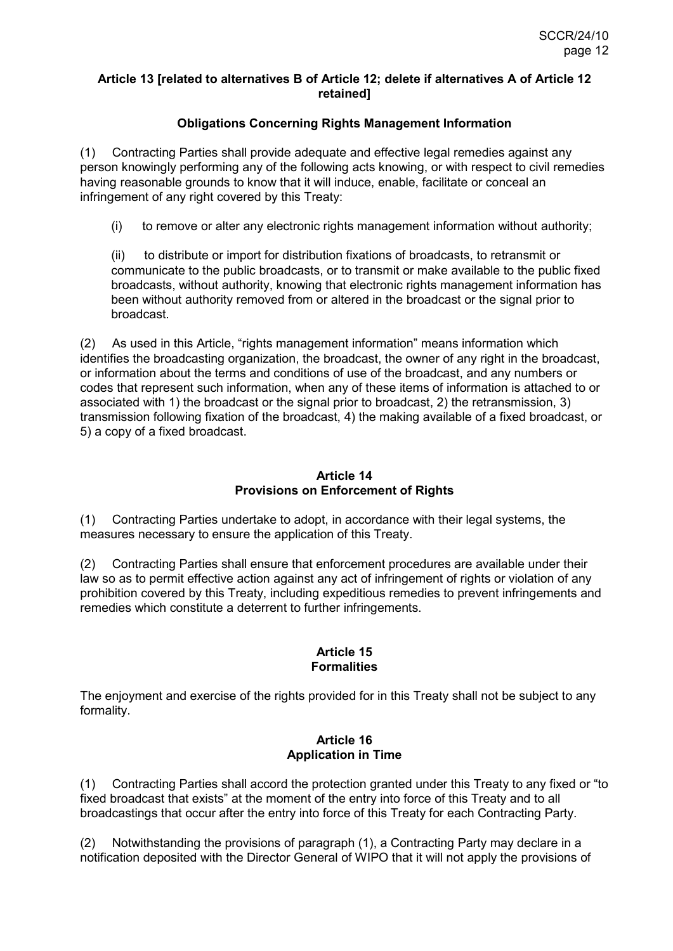#### **Article 13 [related to alternatives B of Article 12; delete if alternatives A of Article 12 retained]**

# **Obligations Concerning Rights Management Information**

(1) Contracting Parties shall provide adequate and effective legal remedies against any person knowingly performing any of the following acts knowing, or with respect to civil remedies having reasonable grounds to know that it will induce, enable, facilitate or conceal an infringement of any right covered by this Treaty:

(i) to remove or alter any electronic rights management information without authority;

(ii) to distribute or import for distribution fixations of broadcasts, to retransmit or communicate to the public broadcasts, or to transmit or make available to the public fixed broadcasts, without authority, knowing that electronic rights management information has been without authority removed from or altered in the broadcast or the signal prior to broadcast.

(2) As used in this Article, "rights management information" means information which identifies the broadcasting organization, the broadcast, the owner of any right in the broadcast, or information about the terms and conditions of use of the broadcast, and any numbers or codes that represent such information, when any of these items of information is attached to or associated with 1) the broadcast or the signal prior to broadcast, 2) the retransmission, 3) transmission following fixation of the broadcast, 4) the making available of a fixed broadcast, or 5) a copy of a fixed broadcast.

# **Article 14 Provisions on Enforcement of Rights**

(1) Contracting Parties undertake to adopt, in accordance with their legal systems, the measures necessary to ensure the application of this Treaty.

(2) Contracting Parties shall ensure that enforcement procedures are available under their law so as to permit effective action against any act of infringement of rights or violation of any prohibition covered by this Treaty, including expeditious remedies to prevent infringements and remedies which constitute a deterrent to further infringements.

# **Article 15 Formalities**

The enjoyment and exercise of the rights provided for in this Treaty shall not be subject to any formality.

# **Article 16 Application in Time**

(1) Contracting Parties shall accord the protection granted under this Treaty to any fixed or "to fixed broadcast that exists" at the moment of the entry into force of this Treaty and to all broadcastings that occur after the entry into force of this Treaty for each Contracting Party.

(2) Notwithstanding the provisions of paragraph (1), a Contracting Party may declare in a notification deposited with the Director General of WIPO that it will not apply the provisions of